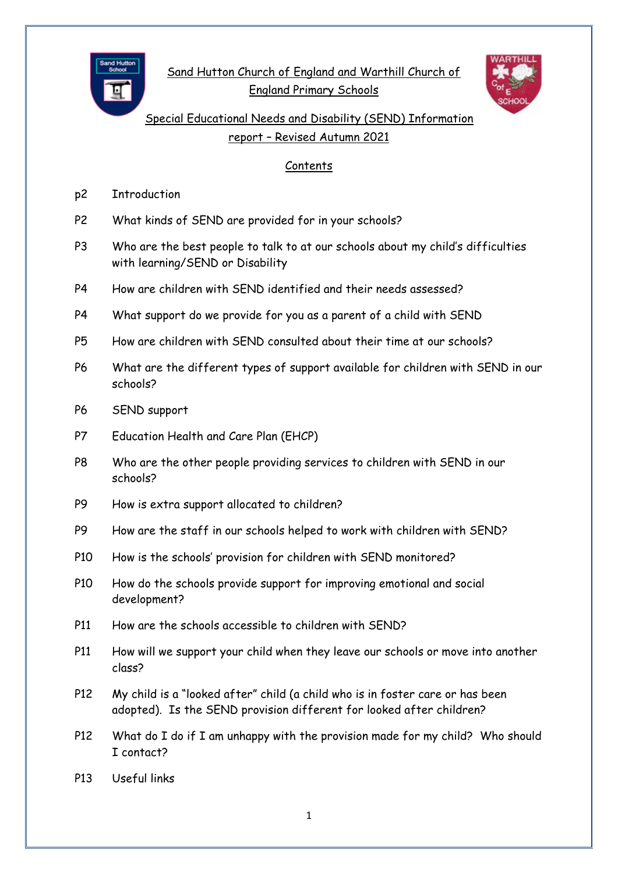

Sand Hutton Church of England and Warthill Church of England Primary Schools



Special Educational Needs and Disability (SEND) Information report – Revised Autumn 2021

## Contents

- p2 Introduction
- P2 What kinds of SEND are provided for in your schools?
- P3 Who are the best people to talk to at our schools about my child's difficulties with learning/SEND or Disability
- P4 How are children with SEND identified and their needs assessed?
- P4 What support do we provide for you as a parent of a child with SEND
- P5 How are children with SEND consulted about their time at our schools?
- P6 What are the different types of support available for children with SEND in our schools?
- P6 SEND support
- P7 Education Health and Care Plan (EHCP)
- P8 Who are the other people providing services to children with SEND in our schools?
- P9 How is extra support allocated to children?
- P9 How are the staff in our schools helped to work with children with SEND?
- P10 How is the schools' provision for children with SEND monitored?
- P10 How do the schools provide support for improving emotional and social development?
- P11 How are the schools accessible to children with SEND?
- P11 How will we support your child when they leave our schools or move into another class?
- P12 My child is a "looked after" child (a child who is in foster care or has been adopted). Is the SEND provision different for looked after children?
- P12 What do I do if I am unhappy with the provision made for my child? Who should I contact?
- P13 Useful links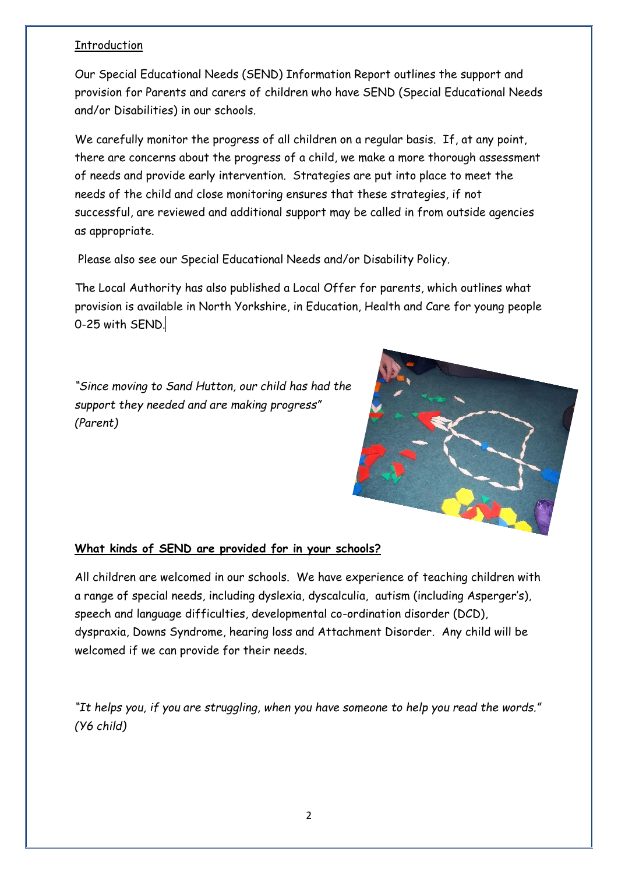## Introduction

Our Special Educational Needs (SEND) Information Report outlines the support and provision for Parents and carers of children who have SEND (Special Educational Needs and/or Disabilities) in our schools.

We carefully monitor the progress of all children on a regular basis. If, at any point, there are concerns about the progress of a child, we make a more thorough assessment of needs and provide early intervention. Strategies are put into place to meet the needs of the child and close monitoring ensures that these strategies, if not successful, are reviewed and additional support may be called in from outside agencies as appropriate.

Please also see our Special Educational Needs and/or Disability Policy.

The Local Authority has also published a Local Offer for parents, which outlines what provision is available in North Yorkshire, in Education, Health and Care for young people 0-25 with SEND.

*"Since moving to Sand Hutton, our child has had the support they needed and are making progress" (Parent)*



## **What kinds of SEND are provided for in your schools?**

All children are welcomed in our schools. We have experience of teaching children with a range of special needs, including dyslexia, dyscalculia, autism (including Asperger's), speech and language difficulties, developmental co-ordination disorder (DCD), dyspraxia, Downs Syndrome, hearing loss and Attachment Disorder. Any child will be welcomed if we can provide for their needs.

*"It helps you, if you are struggling, when you have someone to help you read the words." (Y6 child)*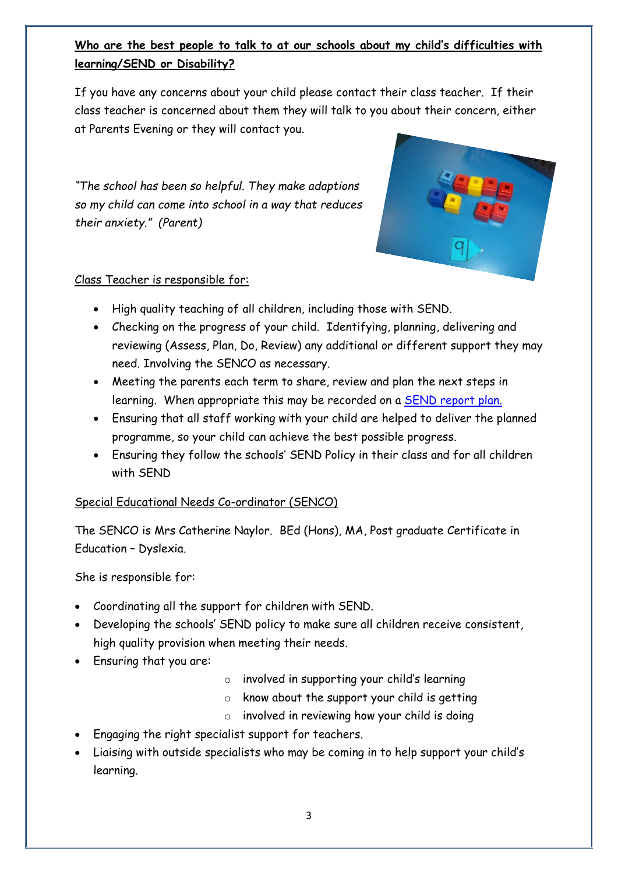# **Who are the best people to talk to at our schools about my child's difficulties with learning/SEND or Disability?**

If you have any concerns about your child please contact their class teacher. If their class teacher is concerned about them they will talk to you about their concern, either at Parents Evening or they will contact you.

*"The school has been so helpful. They make adaptions so my child can come into school in a way that reduces their anxiety." (Parent)*



## Class Teacher is responsible for:

- High quality teaching of all children, including those with SEND.
- Checking on the progress of your child. Identifying, planning, delivering and reviewing (Assess, Plan, Do, Review) any additional or different support they may need. Involving the SENCO as necessary.
- Meeting the parents each term to share, review and plan the next steps in learning. When appropriate this may be recorded on a **SEND report plan.**
- Ensuring that all staff working with your child are helped to deliver the planned programme, so your child can achieve the best possible progress.
- Ensuring they follow the schools' SEND Policy in their class and for all children with SEND

## Special Educational Needs Co-ordinator (SENCO)

The SENCO is Mrs Catherine Naylor. BEd (Hons), MA, Post graduate Certificate in Education – Dyslexia.

She is responsible for:

- Coordinating all the support for children with SEND.
- Developing the schools' SEND policy to make sure all children receive consistent, high quality provision when meeting their needs.
- Ensuring that you are:
- o involved in supporting your child's learning
- $\circ$  know about the support your child is getting
- o involved in reviewing how your child is doing
- Engaging the right specialist support for teachers.
- Liaising with outside specialists who may be coming in to help support your child's learning.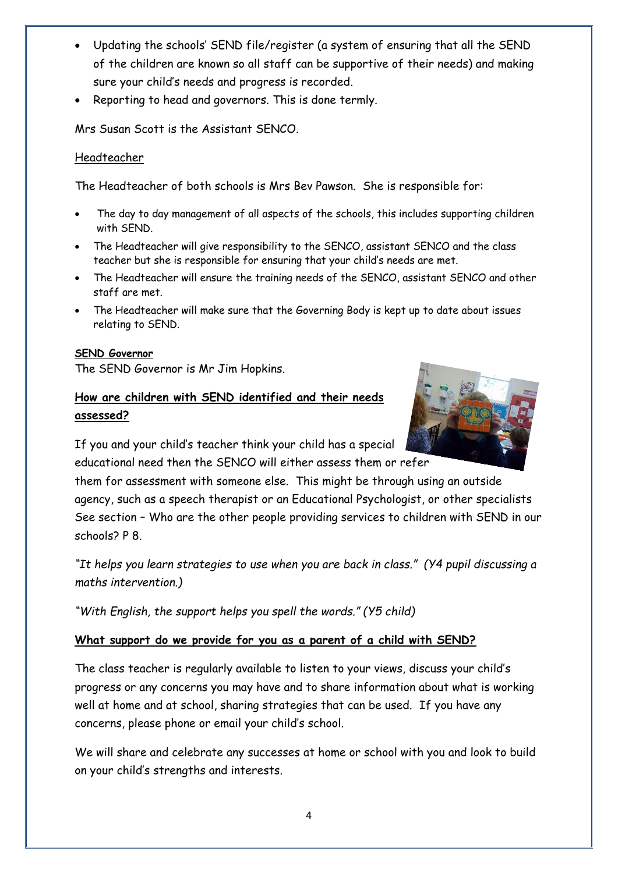- Updating the schools' SEND file/register (a system of ensuring that all the SEND of the children are known so all staff can be supportive of their needs) and making sure your child's needs and progress is recorded.
- Reporting to head and governors. This is done termly.

Mrs Susan Scott is the Assistant SENCO.

## Headteacher

The Headteacher of both schools is Mrs Bev Pawson. She is responsible for:

- The day to day management of all aspects of the schools, this includes supporting children with SEND.
- The Headteacher will give responsibility to the SENCO, assistant SENCO and the class teacher but she is responsible for ensuring that your child's needs are met.
- The Headteacher will ensure the training needs of the SENCO, assistant SENCO and other staff are met.
- The Headteacher will make sure that the Governing Body is kept up to date about issues relating to SEND.

#### **SEND Governor**

The SEND Governor is Mr Jim Hopkins.

# **How are children with SEND identified and their needs assessed?**



If you and your child's teacher think your child has a special educational need then the SENCO will either assess them or refer

them for assessment with someone else. This might be through using an outside agency, such as a speech therapist or an Educational Psychologist, or other specialists See section – Who are the other people providing services to children with SEND in our schools? P 8.

*"It helps you learn strategies to use when you are back in class." (Y4 pupil discussing a maths intervention.)*

*"With English, the support helps you spell the words." (Y5 child)*

## **What support do we provide for you as a parent of a child with SEND?**

The class teacher is regularly available to listen to your views, discuss your child's progress or any concerns you may have and to share information about what is working well at home and at school, sharing strategies that can be used. If you have any concerns, please phone or email your child's school.

We will share and celebrate any successes at home or school with you and look to build on your child's strengths and interests.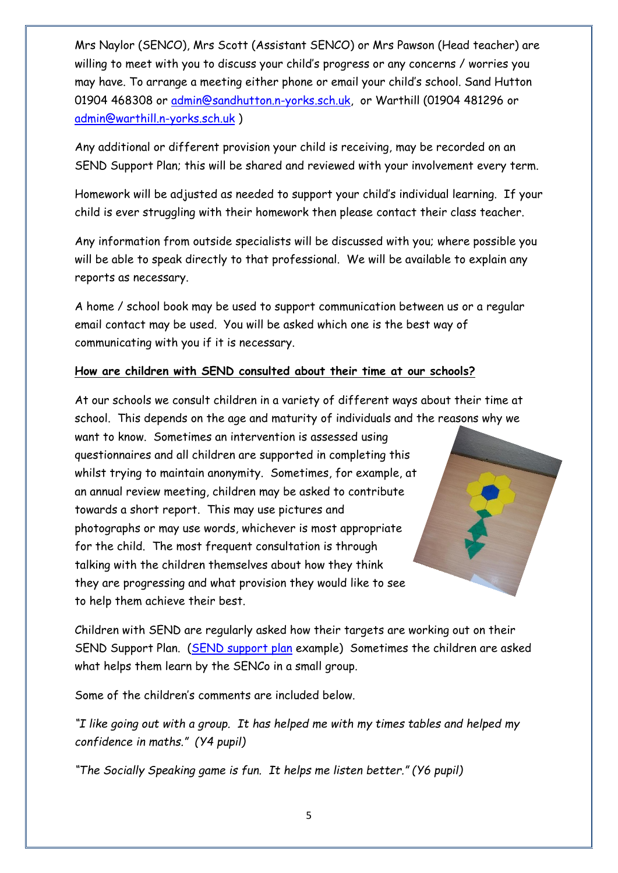Mrs Naylor (SENCO), Mrs Scott (Assistant SENCO) or Mrs Pawson (Head teacher) are willing to meet with you to discuss your child's progress or any concerns / worries you may have. To arrange a meeting either phone or email your child's school. Sand Hutton 01904 468308 or [admin@sandhutton.n-yorks.sch.uk,](mailto:admin@sandhutton.n-yorks.sch.uk) or Warthill (01904 481296 or [admin@warthill.n-yorks.sch.uk](mailto:admin@warthill.n-yorks.sch.uk) )

Any additional or different provision your child is receiving, may be recorded on an SEND Support Plan; this will be shared and reviewed with your involvement every term.

Homework will be adjusted as needed to support your child's individual learning. If your child is ever struggling with their homework then please contact their class teacher.

Any information from outside specialists will be discussed with you; where possible you will be able to speak directly to that professional. We will be available to explain any reports as necessary.

A home / school book may be used to support communication between us or a regular email contact may be used. You will be asked which one is the best way of communicating with you if it is necessary.

#### **How are children with SEND consulted about their time at our schools?**

At our schools we consult children in a variety of different ways about their time at school. This depends on the age and maturity of individuals and the reasons why we

want to know. Sometimes an intervention is assessed using questionnaires and all children are supported in completing this whilst trying to maintain anonymity. Sometimes, for example, at an annual review meeting, children may be asked to contribute towards a short report. This may use pictures and photographs or may use words, whichever is most appropriate for the child. The most frequent consultation is through talking with the children themselves about how they think they are progressing and what provision they would like to see to help them achieve their best.

Children with SEND are regularly asked how their targets are working out on their SEND Support Plan. [\(SEND support plan](SEND%20support%20plan.docx) example) Sometimes the children are asked what helps them learn by the SENCo in a small group.

Some of the children's comments are included below.

*"I like going out with a group. It has helped me with my times tables and helped my confidence in maths." (Y4 pupil)*

*"The Socially Speaking game is fun. It helps me listen better." (Y6 pupil)*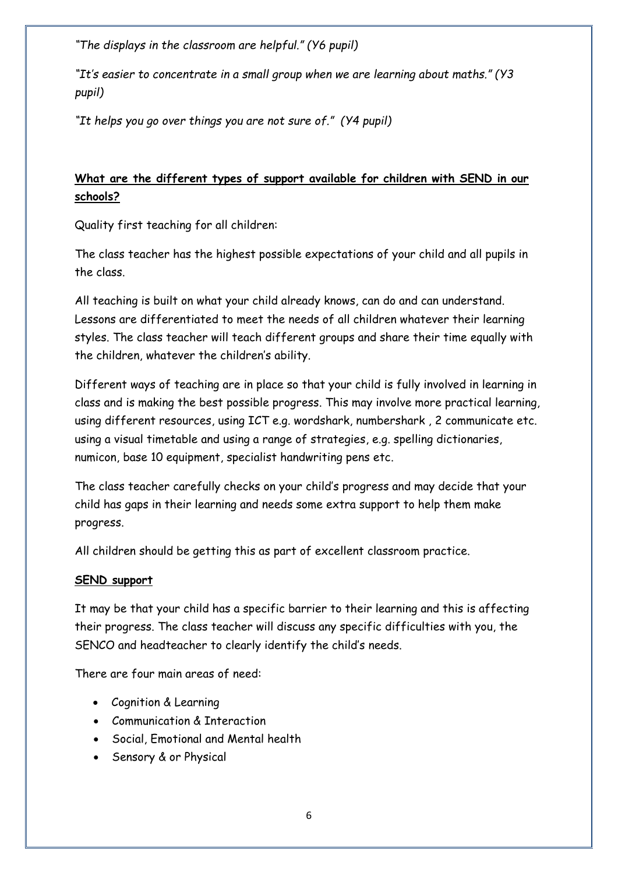*"The displays in the classroom are helpful." (Y6 pupil)*

*"It's easier to concentrate in a small group when we are learning about maths." (Y3 pupil)*

*"It helps you go over things you are not sure of." (Y4 pupil)*

## **What are the different types of support available for children with SEND in our schools?**

Quality first teaching for all children:

The class teacher has the highest possible expectations of your child and all pupils in the class.

All teaching is built on what your child already knows, can do and can understand. Lessons are differentiated to meet the needs of all children whatever their learning styles. The class teacher will teach different groups and share their time equally with the children, whatever the children's ability.

Different ways of teaching are in place so that your child is fully involved in learning in class and is making the best possible progress. This may involve more practical learning, using different resources, using ICT e.g. wordshark, numbershark , 2 communicate etc. using a visual timetable and using a range of strategies, e.g. spelling dictionaries, numicon, base 10 equipment, specialist handwriting pens etc.

The class teacher carefully checks on your child's progress and may decide that your child has gaps in their learning and needs some extra support to help them make progress.

All children should be getting this as part of excellent classroom practice.

## **SEND support**

It may be that your child has a specific barrier to their learning and this is affecting their progress. The class teacher will discuss any specific difficulties with you, the SENCO and headteacher to clearly identify the child's needs.

There are four main areas of need:

- Cognition & Learning
- Communication & Interaction
- Social, Emotional and Mental health
- Sensory & or Physical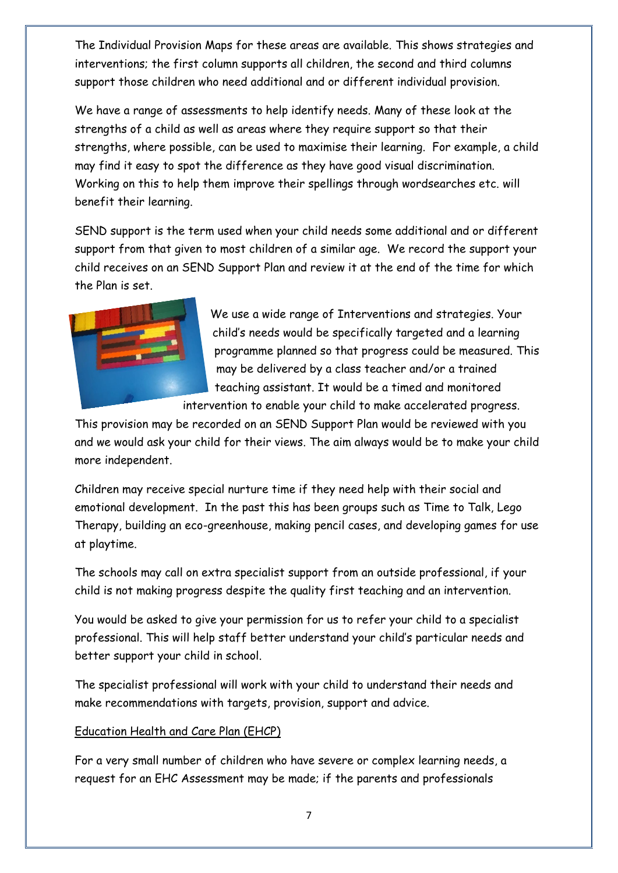The Individual Provision Maps for these areas are available. This shows strategies and interventions; the first column supports all children, the second and third columns support those children who need additional and or different individual provision.

We have a range of assessments to help identify needs. Many of these look at the strengths of a child as well as areas where they require support so that their strengths, where possible, can be used to maximise their learning. For example, a child may find it easy to spot the difference as they have good visual discrimination. Working on this to help them improve their spellings through wordsearches etc. will benefit their learning.

SEND support is the term used when your child needs some additional and or different support from that given to most children of a similar age. We record the support your child receives on an SEND Support Plan and review it at the end of the time for which the Plan is set.



We use a wide range of Interventions and strategies. Your child's needs would be specifically targeted and a learning programme planned so that progress could be measured. This may be delivered by a class teacher and/or a trained teaching assistant. It would be a timed and monitored

intervention to enable your child to make accelerated progress.

This provision may be recorded on an SEND Support Plan would be reviewed with you and we would ask your child for their views. The aim always would be to make your child more independent.

Children may receive special nurture time if they need help with their social and emotional development. In the past this has been groups such as Time to Talk, Lego Therapy, building an eco-greenhouse, making pencil cases, and developing games for use at playtime.

The schools may call on extra specialist support from an outside professional, if your child is not making progress despite the quality first teaching and an intervention.

You would be asked to give your permission for us to refer your child to a specialist professional. This will help staff better understand your child's particular needs and better support your child in school.

The specialist professional will work with your child to understand their needs and make recommendations with targets, provision, support and advice.

## Education Health and Care Plan (EHCP)

For a very small number of children who have severe or complex learning needs, a request for an EHC Assessment may be made; if the parents and professionals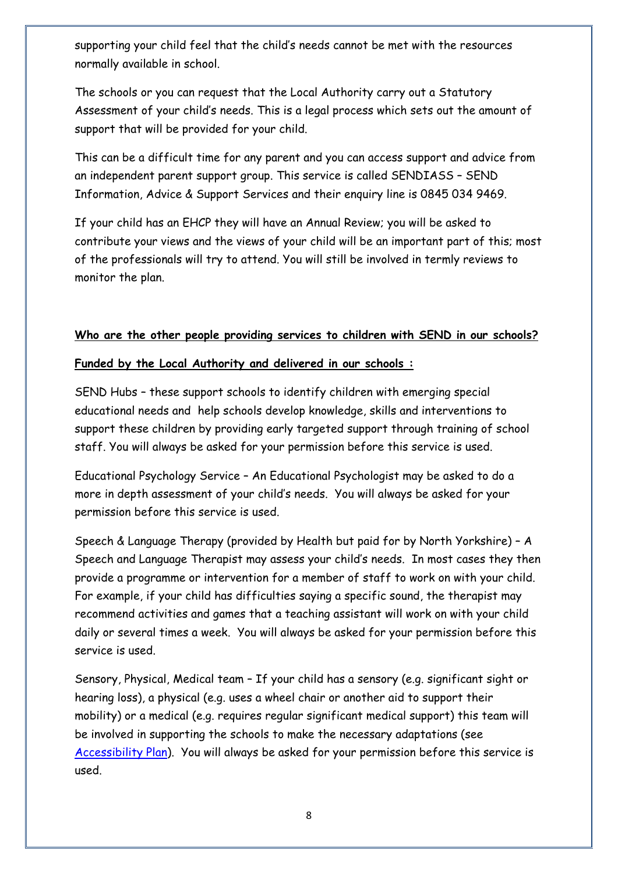supporting your child feel that the child's needs cannot be met with the resources normally available in school.

The schools or you can request that the Local Authority carry out a Statutory Assessment of your child's needs. This is a legal process which sets out the amount of support that will be provided for your child.

This can be a difficult time for any parent and you can access support and advice from an independent parent support group. This service is called SENDIASS – SEND Information, Advice & Support Services and their enquiry line is 0845 034 9469.

If your child has an EHCP they will have an Annual Review; you will be asked to contribute your views and the views of your child will be an important part of this; most of the professionals will try to attend. You will still be involved in termly reviews to monitor the plan.

#### **Who are the other people providing services to children with SEND in our schools?**

#### **Funded by the Local Authority and delivered in our schools :**

SEND Hubs – these support schools to identify children with emerging special educational needs and help schools develop knowledge, skills and interventions to support these children by providing early targeted support through training of school staff. You will always be asked for your permission before this service is used.

Educational Psychology Service – An Educational Psychologist may be asked to do a more in depth assessment of your child's needs. You will always be asked for your permission before this service is used.

Speech & Language Therapy (provided by Health but paid for by North Yorkshire) – A Speech and Language Therapist may assess your child's needs. In most cases they then provide a programme or intervention for a member of staff to work on with your child. For example, if your child has difficulties saying a specific sound, the therapist may recommend activities and games that a teaching assistant will work on with your child daily or several times a week. You will always be asked for your permission before this service is used.

Sensory, Physical, Medical team – If your child has a sensory (e.g. significant sight or hearing loss), a physical (e.g. uses a wheel chair or another aid to support their mobility) or a medical (e.g. requires regular significant medical support) this team will be involved in supporting the schools to make the necessary adaptations (see [Accessibility Plan\)](accessibility%20plan%20draft%202021.docx). You will always be asked for your permission before this service is used.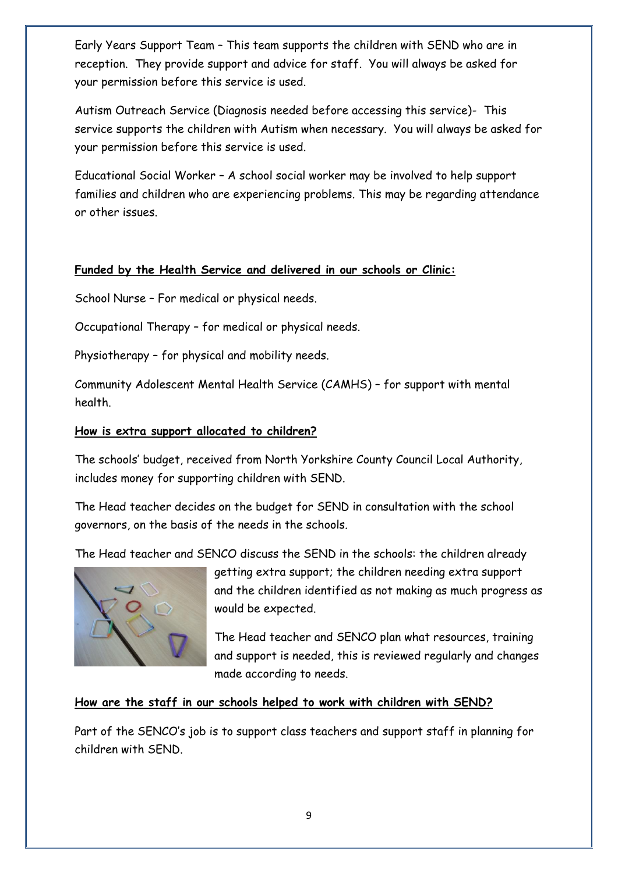Early Years Support Team – This team supports the children with SEND who are in reception. They provide support and advice for staff. You will always be asked for your permission before this service is used.

Autism Outreach Service (Diagnosis needed before accessing this service)- This service supports the children with Autism when necessary. You will always be asked for your permission before this service is used.

Educational Social Worker – A school social worker may be involved to help support families and children who are experiencing problems. This may be regarding attendance or other issues.

## **Funded by the Health Service and delivered in our schools or Clinic:**

School Nurse – For medical or physical needs.

Occupational Therapy – for medical or physical needs.

Physiotherapy – for physical and mobility needs.

Community Adolescent Mental Health Service (CAMHS) – for support with mental health.

## **How is extra support allocated to children?**

The schools' budget, received from North Yorkshire County Council Local Authority, includes money for supporting children with SEND.

The Head teacher decides on the budget for SEND in consultation with the school governors, on the basis of the needs in the schools.

The Head teacher and SENCO discuss the SEND in the schools: the children already



getting extra support; the children needing extra support and the children identified as not making as much progress as would be expected.

The Head teacher and SENCO plan what resources, training and support is needed, this is reviewed regularly and changes made according to needs.

## **How are the staff in our schools helped to work with children with SEND?**

Part of the SENCO's job is to support class teachers and support staff in planning for children with SEND.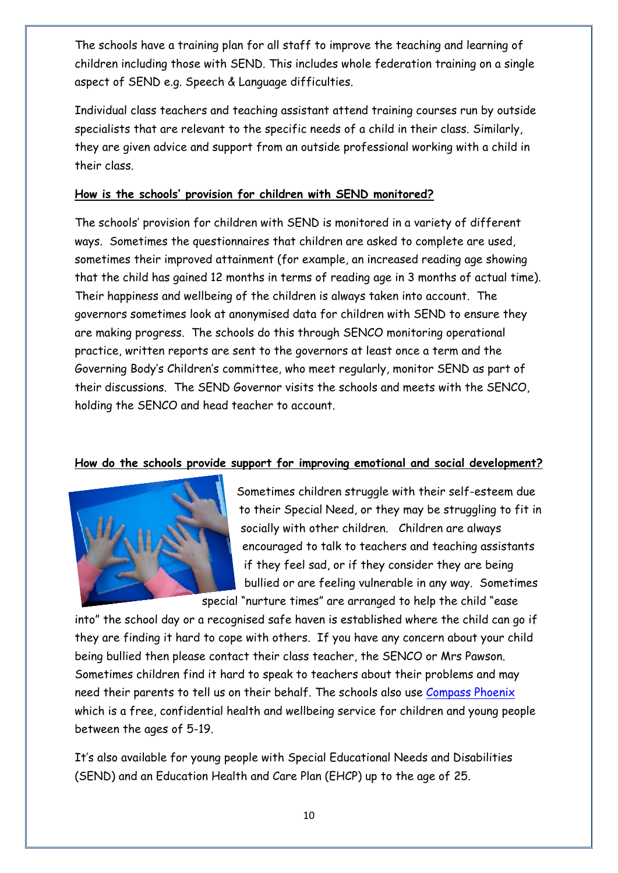The schools have a training plan for all staff to improve the teaching and learning of children including those with SEND. This includes whole federation training on a single aspect of SEND e.g. Speech & Language difficulties.

Individual class teachers and teaching assistant attend training courses run by outside specialists that are relevant to the specific needs of a child in their class. Similarly, they are given advice and support from an outside professional working with a child in their class.

#### **How is the schools' provision for children with SEND monitored?**

The schools' provision for children with SEND is monitored in a variety of different ways. Sometimes the questionnaires that children are asked to complete are used, sometimes their improved attainment (for example, an increased reading age showing that the child has gained 12 months in terms of reading age in 3 months of actual time). Their happiness and wellbeing of the children is always taken into account. The governors sometimes look at anonymised data for children with SEND to ensure they are making progress. The schools do this through SENCO monitoring operational practice, written reports are sent to the governors at least once a term and the Governing Body's Children's committee, who meet regularly, monitor SEND as part of their discussions. The SEND Governor visits the schools and meets with the SENCO, holding the SENCO and head teacher to account.

## **How do the schools provide support for improving emotional and social development?**



Sometimes children struggle with their self-esteem due to their Special Need, or they may be struggling to fit in socially with other children. Children are always encouraged to talk to teachers and teaching assistants if they feel sad, or if they consider they are being bullied or are feeling vulnerable in any way. Sometimes special "nurture times" are arranged to help the child "ease

into" the school day or a recognised safe haven is established where the child can go if they are finding it hard to cope with others. If you have any concern about your child being bullied then please contact their class teacher, the SENCO or Mrs Pawson. Sometimes children find it hard to speak to teachers about their problems and may need their parents to tell us on their behalf. The schools also use [Compass Phoenix](https://www.compass-uk.org/services/compass-phoenix/) which is a free, confidential health and wellbeing service for children and young people between the ages of 5-19.

It's also available for young people with Special Educational Needs and Disabilities (SEND) and an Education Health and Care Plan (EHCP) up to the age of 25.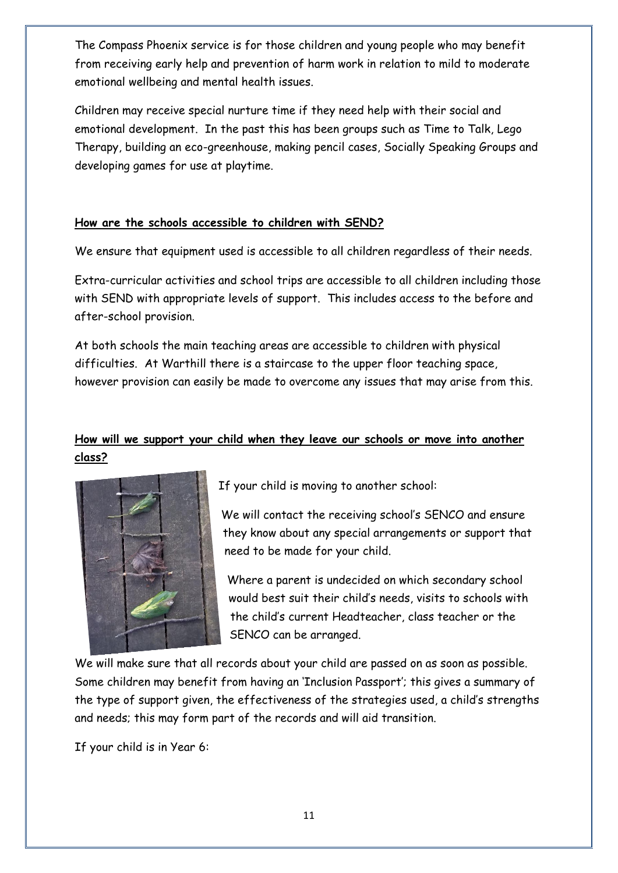The Compass Phoenix service is for those children and young people who may benefit from receiving early help and prevention of harm work in relation to mild to moderate emotional wellbeing and mental health issues.

Children may receive special nurture time if they need help with their social and emotional development. In the past this has been groups such as Time to Talk, Lego Therapy, building an eco-greenhouse, making pencil cases, Socially Speaking Groups and developing games for use at playtime.

#### **How are the schools accessible to children with SEND?**

We ensure that equipment used is accessible to all children regardless of their needs.

Extra-curricular activities and school trips are accessible to all children including those with SEND with appropriate levels of support. This includes access to the before and after-school provision.

At both schools the main teaching areas are accessible to children with physical difficulties. At Warthill there is a staircase to the upper floor teaching space, however provision can easily be made to overcome any issues that may arise from this.

## **How will we support your child when they leave our schools or move into another class?**



If your child is moving to another school:

We will contact the receiving school's SENCO and ensure they know about any special arrangements or support that need to be made for your child.

Where a parent is undecided on which secondary school would best suit their child's needs, visits to schools with the child's current Headteacher, class teacher or the SENCO can be arranged.

We will make sure that all records about your child are passed on as soon as possible. Some children may benefit from having an 'Inclusion Passport'; this gives a summary of the type of support given, the effectiveness of the strategies used, a child's strengths and needs; this may form part of the records and will aid transition.

If your child is in Year 6: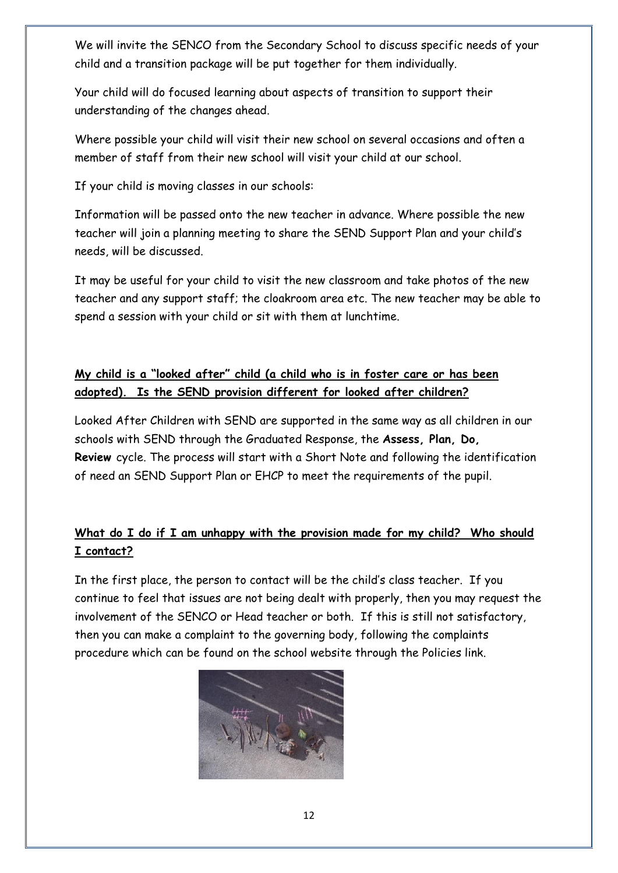We will invite the SENCO from the Secondary School to discuss specific needs of your child and a transition package will be put together for them individually.

Your child will do focused learning about aspects of transition to support their understanding of the changes ahead.

Where possible your child will visit their new school on several occasions and often a member of staff from their new school will visit your child at our school.

If your child is moving classes in our schools:

Information will be passed onto the new teacher in advance. Where possible the new teacher will join a planning meeting to share the SEND Support Plan and your child's needs, will be discussed.

It may be useful for your child to visit the new classroom and take photos of the new teacher and any support staff; the cloakroom area etc. The new teacher may be able to spend a session with your child or sit with them at lunchtime.

# **My child is a "looked after" child (a child who is in foster care or has been adopted). Is the SEND provision different for looked after children?**

Looked After Children with SEND are supported in the same way as all children in our schools with SEND through the Graduated Response, the **Assess, Plan, Do, Review** cycle. The process will start with a Short Note and following the identification of need an SEND Support Plan or EHCP to meet the requirements of the pupil.

# **What do I do if I am unhappy with the provision made for my child? Who should I contact?**

In the first place, the person to contact will be the child's class teacher. If you continue to feel that issues are not being dealt with properly, then you may request the involvement of the SENCO or Head teacher or both. If this is still not satisfactory, then you can make a complaint to the governing body, following the complaints procedure which can be found on the school website through the Policies link.